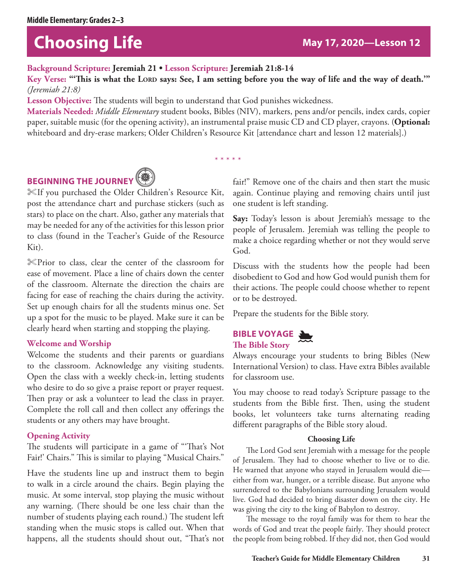# **Choosing Life May 17, 2020—Lesson 12**

**Background Scripture: Jeremiah 21 • Lesson Scripture: Jeremiah 21:8-14**

Key Verse: "This is what the LORD says: See, I am setting before you the way of life and the way of death."" *(Jeremiah 21:8)*

**Lesson Objective:** The students will begin to understand that God punishes wickedness.

**Materials Needed:** *Middle Elementary* student books, Bibles (NIV), markers, pens and/or pencils, index cards, copier paper, suitable music (for the opening activity), an instrumental praise music CD and CD player, crayons. (**Optional:** whiteboard and dry-erase markers; Older Children's Resource Kit [attendance chart and lesson 12 materials].)

\* \* \* \* \*

# **BEGINNING THE JOURNEY<sup>®</sup>**



%If you purchased the Older Children's Resource Kit, post the attendance chart and purchase stickers (such as stars) to place on the chart. Also, gather any materials that may be needed for any of the activities for this lesson prior to class (found in the Teacher's Guide of the Resource Kit).

%Prior to class, clear the center of the classroom for ease of movement. Place a line of chairs down the center of the classroom. Alternate the direction the chairs are facing for ease of reaching the chairs during the activity. Set up enough chairs for all the students minus one. Set up a spot for the music to be played. Make sure it can be clearly heard when starting and stopping the playing.

### **Welcome and Worship**

Welcome the students and their parents or guardians to the classroom. Acknowledge any visiting students. Open the class with a weekly check-in, letting students who desire to do so give a praise report or prayer request. Then pray or ask a volunteer to lead the class in prayer. Complete the roll call and then collect any offerings the students or any others may have brought.

# **Opening Activity**

The students will participate in a game of "'That's Not Fair!' Chairs." This is similar to playing "Musical Chairs."

Have the students line up and instruct them to begin to walk in a circle around the chairs. Begin playing the music. At some interval, stop playing the music without any warning. (There should be one less chair than the number of students playing each round.) The student left standing when the music stops is called out. When that happens, all the students should shout out, "That's not fair!" Remove one of the chairs and then start the music again. Continue playing and removing chairs until just one student is left standing.

**Say:** Today's lesson is about Jeremiah's message to the people of Jerusalem. Jeremiah was telling the people to make a choice regarding whether or not they would serve God.

Discuss with the students how the people had been disobedient to God and how God would punish them for their actions. The people could choose whether to repent or to be destroyed.

Prepare the students for the Bible story.

# **BIBLE VOYAGE The Bible Story** J



Always encourage your students to bring Bibles (New International Version) to class. Have extra Bibles available for classroom use.

You may choose to read today's Scripture passage to the students from the Bible first. Then, using the student books, let volunteers take turns alternating reading different paragraphs of the Bible story aloud.

### **Choosing Life**

The Lord God sent Jeremiah with a message for the people of Jerusalem. They had to choose whether to live or to die. He warned that anyone who stayed in Jerusalem would die either from war, hunger, or a terrible disease. But anyone who surrendered to the Babylonians surrounding Jerusalem would live. God had decided to bring disaster down on the city. He was giving the city to the king of Babylon to destroy.

The message to the royal family was for them to hear the words of God and treat the people fairly. They should protect the people from being robbed. If they did not, then God would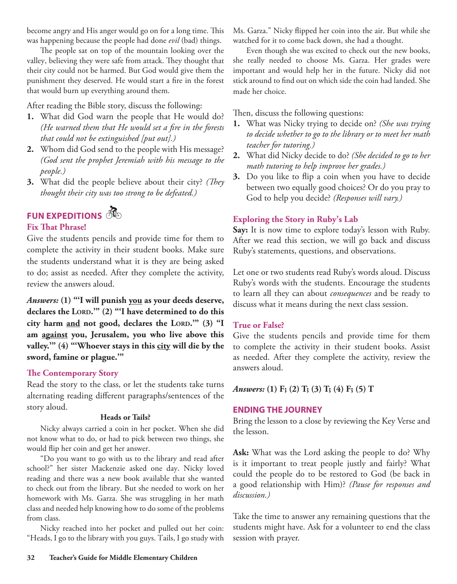become angry and His anger would go on for a long time. This was happening because the people had done *evil* (bad) things.

The people sat on top of the mountain looking over the valley, believing they were safe from attack. They thought that their city could not be harmed. But God would give them the punishment they deserved. He would start a fire in the forest that would burn up everything around them.

After reading the Bible story, discuss the following:

- **1.** What did God warn the people that He would do? *(He warned them that He would set a fire in the forests that could not be extinguished [put out].)*
- **2.** Whom did God send to the people with His message? *(God sent the prophet Jeremiah with his message to the people.)*
- **3.** What did the people believe about their city? *(They thought their city was too strong to be defeated.)*

# **FUN EXPEDITIONS**

### **Fix That Phrase!**

Give the students pencils and provide time for them to complete the activity in their student books. Make sure the students understand what it is they are being asked to do; assist as needed. After they complete the activity, review the answers aloud.

*Answers:* **(1) "'I will punish you as your deeds deserve,**  declares the LORD." (2) "'I have determined to do this city harm and not good, declares the LORD."" (3) "I **am against you, Jerusalem, you who live above this**  valley." (4) "Whoever stays in this city will die by the **sword, famine or plague.'"**

# **The Contemporary Story**

Read the story to the class, or let the students take turns alternating reading different paragraphs/sentences of the story aloud.

### **Heads or Tails?**

Nicky always carried a coin in her pocket. When she did not know what to do, or had to pick between two things, she would flip her coin and get her answer.

"Do you want to go with us to the library and read after school?" her sister Mackenzie asked one day. Nicky loved reading and there was a new book available that she wanted to check out from the library. But she needed to work on her homework with Ms. Garza. She was struggling in her math class and needed help knowing how to do some of the problems from class.

Nicky reached into her pocket and pulled out her coin: "Heads, I go to the library with you guys. Tails, I go study with Ms. Garza." Nicky flipped her coin into the air. But while she watched for it to come back down, she had a thought.

Even though she was excited to check out the new books, she really needed to choose Ms. Garza. Her grades were important and would help her in the future. Nicky did not stick around to find out on which side the coin had landed. She made her choice.

Then, discuss the following questions:

- **1.** What was Nicky trying to decide on? *(She was trying to decide whether to go to the library or to meet her math teacher for tutoring.)*
- **2.** What did Nicky decide to do? *(She decided to go to her math tutoring to help improve her grades.)*
- **3.** Do you like to flip a coin when you have to decide between two equally good choices? Or do you pray to God to help you decide? *(Responses will vary.)*

# **Exploring the Story in Ruby's Lab**

**Say:** It is now time to explore today's lesson with Ruby. After we read this section, we will go back and discuss Ruby's statements, questions, and observations.

Let one or two students read Ruby's words aloud. Discuss Ruby's words with the students. Encourage the students to learn all they can about *consequences* and be ready to discuss what it means during the next class session.

# **True or False?**

Give the students pencils and provide time for them to complete the activity in their student books. Assist as needed. After they complete the activity, review the answers aloud.

*Answers:* **(1) F; (2) T; (3) T; (4) F; (5) T**

# **ENDING THE JOURNEY**

Bring the lesson to a close by reviewing the Key Verse and the lesson.

**Ask:** What was the Lord asking the people to do? Why is it important to treat people justly and fairly? What could the people do to be restored to God (be back in a good relationship with Him)? *(Pause for responses and discussion.)*

Take the time to answer any remaining questions that the students might have. Ask for a volunteer to end the class session with prayer.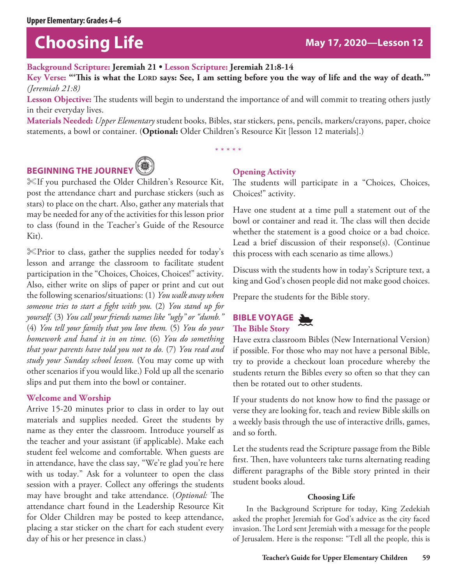# **Choosing Life May 17, 2020**—Lesson 12

**Background Scripture: Jeremiah 21 • Lesson Scripture: Jeremiah 21:8-14**

Key Verse: ""This is what the LORD says: See, I am setting before you the way of life and the way of death."" *(Jeremiah 21:8)*

Lesson Objective: The students will begin to understand the importance of and will commit to treating others justly in their everyday lives.

**Materials Needed:** *Upper Elementary* student books, Bibles, star stickers, pens, pencils, markers/crayons, paper, choice statements, a bowl or container. (**Optional:** Older Children's Resource Kit [lesson 12 materials].)

\* \* \* \* \*

# **BEGINNING THE JOURNEY<sup>®</sup>**



%If you purchased the Older Children's Resource Kit, post the attendance chart and purchase stickers (such as stars) to place on the chart. Also, gather any materials that may be needed for any of the activities for this lesson prior to class (found in the Teacher's Guide of the Resource Kit).

%Prior to class, gather the supplies needed for today's lesson and arrange the classroom to facilitate student participation in the "Choices, Choices, Choices!" activity. Also, either write on slips of paper or print and cut out the following scenarios/situations: (1) *You walk away when someone tries to start a fight with you.* (2) *You stand up for yourself.* (3) *You call your friends names like "ugly" or "dumb."* (4) *You tell your family that you love them.* (5) *You do your homework and hand it in on time.* (6) *You do something that your parents have told you not to do.* (7) *You read and study your Sunday school lesson.* (You may come up with other scenarios if you would like.) Fold up all the scenario slips and put them into the bowl or container.

# **Welcome and Worship**

Arrive 15-20 minutes prior to class in order to lay out materials and supplies needed. Greet the students by name as they enter the classroom. Introduce yourself as the teacher and your assistant (if applicable). Make each student feel welcome and comfortable. When guests are in attendance, have the class say, "We're glad you're here with us today." Ask for a volunteer to open the class session with a prayer. Collect any offerings the students may have brought and take attendance. (*Optional:* The attendance chart found in the Leadership Resource Kit for Older Children may be posted to keep attendance, placing a star sticker on the chart for each student every day of his or her presence in class.)

# **Opening Activity**

The students will participate in a "Choices, Choices, Choices!" activity.

Have one student at a time pull a statement out of the bowl or container and read it. The class will then decide whether the statement is a good choice or a bad choice. Lead a brief discussion of their response(s). (Continue this process with each scenario as time allows.)

Discuss with the students how in today's Scripture text, a king and God's chosen people did not make good choices.

Prepare the students for the Bible story.

# **BIBLE VOYAGE The Bible Story** J

Have extra classroom Bibles (New International Version) if possible. For those who may not have a personal Bible, try to provide a checkout loan procedure whereby the students return the Bibles every so often so that they can then be rotated out to other students.

If your students do not know how to find the passage or verse they are looking for, teach and review Bible skills on a weekly basis through the use of interactive drills, games, and so forth.

Let the students read the Scripture passage from the Bible first. Then, have volunteers take turns alternating reading different paragraphs of the Bible story printed in their student books aloud.

# **Choosing Life**

In the Background Scripture for today, King Zedekiah asked the prophet Jeremiah for God's advice as the city faced invasion. The Lord sent Jeremiah with a message for the people of Jerusalem. Here is the response: "Tell all the people, this is